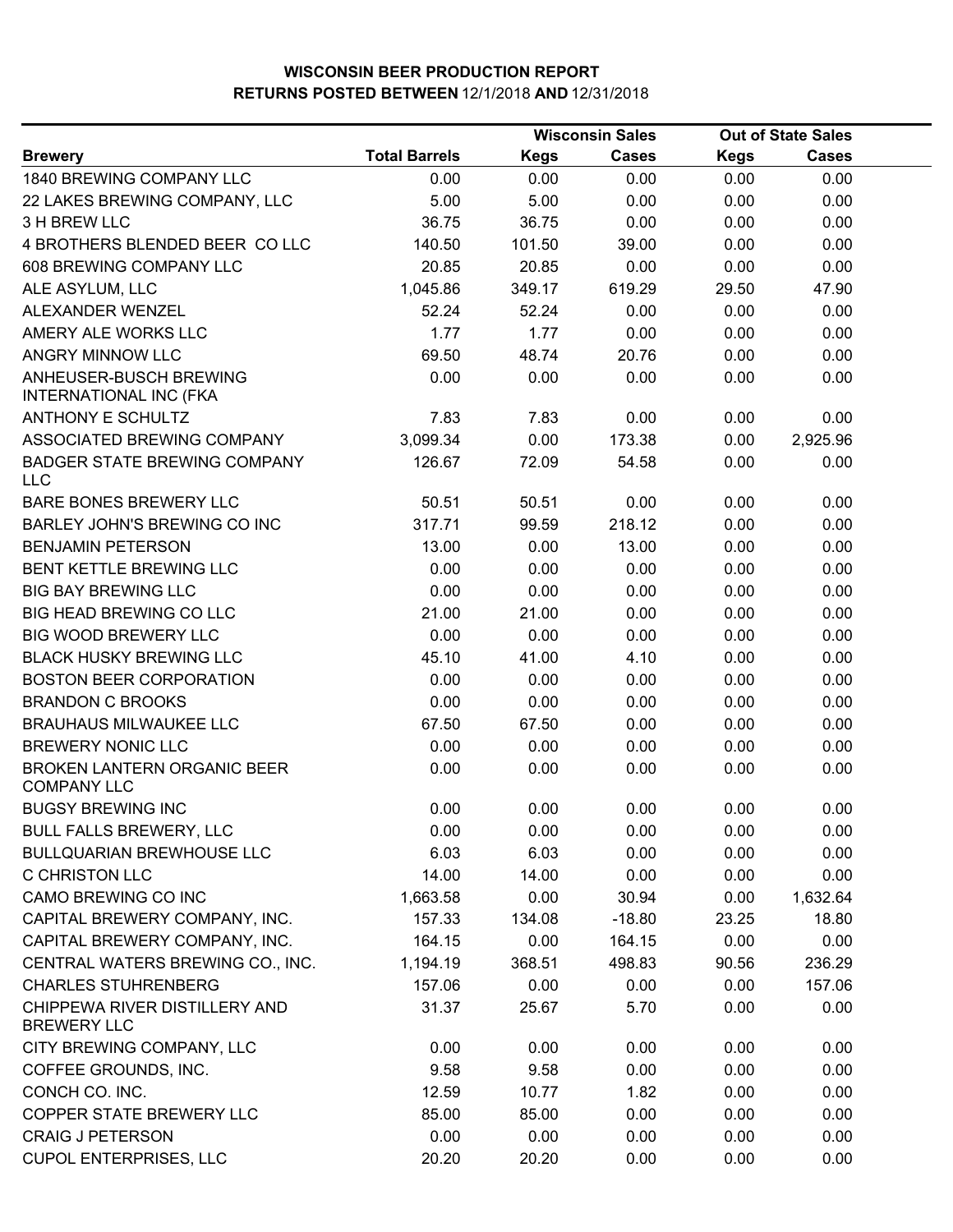|                                                         |                      |             | <b>Wisconsin Sales</b> |             | <b>Out of State Sales</b> |  |
|---------------------------------------------------------|----------------------|-------------|------------------------|-------------|---------------------------|--|
| <b>Brewery</b>                                          | <b>Total Barrels</b> | <b>Kegs</b> | <b>Cases</b>           | <b>Kegs</b> | <b>Cases</b>              |  |
| 1840 BREWING COMPANY LLC                                | 0.00                 | 0.00        | 0.00                   | 0.00        | 0.00                      |  |
| 22 LAKES BREWING COMPANY, LLC                           | 5.00                 | 5.00        | 0.00                   | 0.00        | 0.00                      |  |
| 3 H BREW LLC                                            | 36.75                | 36.75       | 0.00                   | 0.00        | 0.00                      |  |
| 4 BROTHERS BLENDED BEER COLLC                           | 140.50               | 101.50      | 39.00                  | 0.00        | 0.00                      |  |
| 608 BREWING COMPANY LLC                                 | 20.85                | 20.85       | 0.00                   | 0.00        | 0.00                      |  |
| ALE ASYLUM, LLC                                         | 1,045.86             | 349.17      | 619.29                 | 29.50       | 47.90                     |  |
| ALEXANDER WENZEL                                        | 52.24                | 52.24       | 0.00                   | 0.00        | 0.00                      |  |
| AMERY ALE WORKS LLC                                     | 1.77                 | 1.77        | 0.00                   | 0.00        | 0.00                      |  |
| ANGRY MINNOW LLC                                        | 69.50                | 48.74       | 20.76                  | 0.00        | 0.00                      |  |
| ANHEUSER-BUSCH BREWING<br><b>INTERNATIONAL INC (FKA</b> | 0.00                 | 0.00        | 0.00                   | 0.00        | 0.00                      |  |
| <b>ANTHONY E SCHULTZ</b>                                | 7.83                 | 7.83        | 0.00                   | 0.00        | 0.00                      |  |
| ASSOCIATED BREWING COMPANY                              | 3,099.34             | 0.00        | 173.38                 | 0.00        | 2,925.96                  |  |
| <b>BADGER STATE BREWING COMPANY</b><br>LLC              | 126.67               | 72.09       | 54.58                  | 0.00        | 0.00                      |  |
| <b>BARE BONES BREWERY LLC</b>                           | 50.51                | 50.51       | 0.00                   | 0.00        | 0.00                      |  |
| BARLEY JOHN'S BREWING CO INC                            | 317.71               | 99.59       | 218.12                 | 0.00        | 0.00                      |  |
| <b>BENJAMIN PETERSON</b>                                | 13.00                | 0.00        | 13.00                  | 0.00        | 0.00                      |  |
| BENT KETTLE BREWING LLC                                 | 0.00                 | 0.00        | 0.00                   | 0.00        | 0.00                      |  |
| <b>BIG BAY BREWING LLC</b>                              | 0.00                 | 0.00        | 0.00                   | 0.00        | 0.00                      |  |
| BIG HEAD BREWING CO LLC                                 | 21.00                | 21.00       | 0.00                   | 0.00        | 0.00                      |  |
| <b>BIG WOOD BREWERY LLC</b>                             | 0.00                 | 0.00        | 0.00                   | 0.00        | 0.00                      |  |
| <b>BLACK HUSKY BREWING LLC</b>                          | 45.10                | 41.00       | 4.10                   | 0.00        | 0.00                      |  |
| <b>BOSTON BEER CORPORATION</b>                          | 0.00                 | 0.00        | 0.00                   | 0.00        | 0.00                      |  |
| <b>BRANDON C BROOKS</b>                                 | 0.00                 | 0.00        | 0.00                   | 0.00        | 0.00                      |  |
| <b>BRAUHAUS MILWAUKEE LLC</b>                           | 67.50                | 67.50       | 0.00                   | 0.00        | 0.00                      |  |
| <b>BREWERY NONIC LLC</b>                                | 0.00                 | 0.00        | 0.00                   | 0.00        | 0.00                      |  |
| BROKEN LANTERN ORGANIC BEER<br><b>COMPANY LLC</b>       | 0.00                 | 0.00        | 0.00                   | 0.00        | 0.00                      |  |
| <b>BUGSY BREWING INC</b>                                | 0.00                 | 0.00        | 0.00                   | 0.00        | 0.00                      |  |
| <b>BULL FALLS BREWERY, LLC</b>                          | 0.00                 | 0.00        | 0.00                   | 0.00        | 0.00                      |  |
| <b>BULLQUARIAN BREWHOUSE LLC</b>                        | 6.03                 | 6.03        | 0.00                   | 0.00        | 0.00                      |  |
| <b>C CHRISTON LLC</b>                                   | 14.00                | 14.00       | 0.00                   | 0.00        | 0.00                      |  |
| CAMO BREWING CO INC                                     | 1,663.58             | 0.00        | 30.94                  | 0.00        | 1,632.64                  |  |
| CAPITAL BREWERY COMPANY, INC.                           | 157.33               | 134.08      | $-18.80$               | 23.25       | 18.80                     |  |
| CAPITAL BREWERY COMPANY, INC.                           | 164.15               | 0.00        | 164.15                 | 0.00        | 0.00                      |  |
| CENTRAL WATERS BREWING CO., INC.                        | 1,194.19             | 368.51      | 498.83                 | 90.56       | 236.29                    |  |
| <b>CHARLES STUHRENBERG</b>                              | 157.06               | 0.00        | 0.00                   | 0.00        | 157.06                    |  |
| CHIPPEWA RIVER DISTILLERY AND<br><b>BREWERY LLC</b>     | 31.37                | 25.67       | 5.70                   | 0.00        | 0.00                      |  |
| CITY BREWING COMPANY, LLC                               | 0.00                 | 0.00        | 0.00                   | 0.00        | 0.00                      |  |
| COFFEE GROUNDS, INC.                                    | 9.58                 | 9.58        | 0.00                   | 0.00        | 0.00                      |  |
| CONCH CO. INC.                                          | 12.59                | 10.77       | 1.82                   | 0.00        | 0.00                      |  |
| COPPER STATE BREWERY LLC                                | 85.00                | 85.00       | 0.00                   | 0.00        | 0.00                      |  |
| <b>CRAIG J PETERSON</b>                                 | 0.00                 | 0.00        | 0.00                   | 0.00        | 0.00                      |  |
| <b>CUPOL ENTERPRISES, LLC</b>                           | 20.20                | 20.20       | 0.00                   | 0.00        | 0.00                      |  |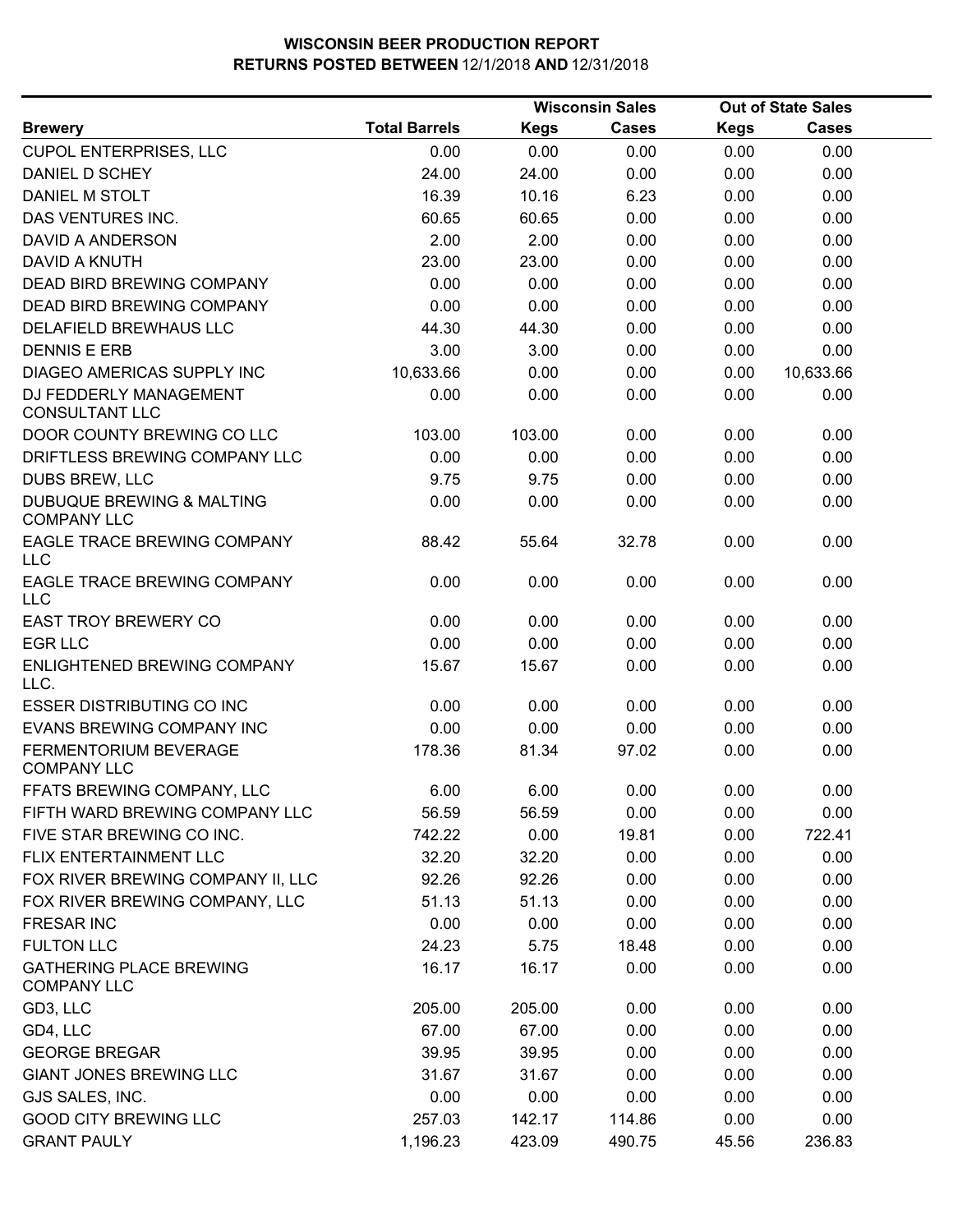|                                                            |                      |             | <b>Wisconsin Sales</b> |             | <b>Out of State Sales</b> |  |
|------------------------------------------------------------|----------------------|-------------|------------------------|-------------|---------------------------|--|
| <b>Brewery</b>                                             | <b>Total Barrels</b> | <b>Kegs</b> | <b>Cases</b>           | <b>Kegs</b> | <b>Cases</b>              |  |
| <b>CUPOL ENTERPRISES, LLC</b>                              | 0.00                 | 0.00        | 0.00                   | 0.00        | 0.00                      |  |
| DANIEL D SCHEY                                             | 24.00                | 24.00       | 0.00                   | 0.00        | 0.00                      |  |
| DANIEL M STOLT                                             | 16.39                | 10.16       | 6.23                   | 0.00        | 0.00                      |  |
| DAS VENTURES INC.                                          | 60.65                | 60.65       | 0.00                   | 0.00        | 0.00                      |  |
| DAVID A ANDERSON                                           | 2.00                 | 2.00        | 0.00                   | 0.00        | 0.00                      |  |
| <b>DAVID A KNUTH</b>                                       | 23.00                | 23.00       | 0.00                   | 0.00        | 0.00                      |  |
| DEAD BIRD BREWING COMPANY                                  | 0.00                 | 0.00        | 0.00                   | 0.00        | 0.00                      |  |
| DEAD BIRD BREWING COMPANY                                  | 0.00                 | 0.00        | 0.00                   | 0.00        | 0.00                      |  |
| DELAFIELD BREWHAUS LLC                                     | 44.30                | 44.30       | 0.00                   | 0.00        | 0.00                      |  |
| <b>DENNIS E ERB</b>                                        | 3.00                 | 3.00        | 0.00                   | 0.00        | 0.00                      |  |
| DIAGEO AMERICAS SUPPLY INC                                 | 10,633.66            | 0.00        | 0.00                   | 0.00        | 10,633.66                 |  |
| DJ FEDDERLY MANAGEMENT<br><b>CONSULTANT LLC</b>            | 0.00                 | 0.00        | 0.00                   | 0.00        | 0.00                      |  |
| DOOR COUNTY BREWING CO LLC                                 | 103.00               | 103.00      | 0.00                   | 0.00        | 0.00                      |  |
| DRIFTLESS BREWING COMPANY LLC                              | 0.00                 | 0.00        | 0.00                   | 0.00        | 0.00                      |  |
| DUBS BREW, LLC                                             | 9.75                 | 9.75        | 0.00                   | 0.00        | 0.00                      |  |
| <b>DUBUQUE BREWING &amp; MALTING</b><br><b>COMPANY LLC</b> | 0.00                 | 0.00        | 0.00                   | 0.00        | 0.00                      |  |
| EAGLE TRACE BREWING COMPANY<br><b>LLC</b>                  | 88.42                | 55.64       | 32.78                  | 0.00        | 0.00                      |  |
| EAGLE TRACE BREWING COMPANY<br>LLC                         | 0.00                 | 0.00        | 0.00                   | 0.00        | 0.00                      |  |
| <b>EAST TROY BREWERY CO</b>                                | 0.00                 | 0.00        | 0.00                   | 0.00        | 0.00                      |  |
| <b>EGR LLC</b>                                             | 0.00                 | 0.00        | 0.00                   | 0.00        | 0.00                      |  |
| ENLIGHTENED BREWING COMPANY<br>LLC.                        | 15.67                | 15.67       | 0.00                   | 0.00        | 0.00                      |  |
| <b>ESSER DISTRIBUTING CO INC</b>                           | 0.00                 | 0.00        | 0.00                   | 0.00        | 0.00                      |  |
| <b>EVANS BREWING COMPANY INC</b>                           | 0.00                 | 0.00        | 0.00                   | 0.00        | 0.00                      |  |
| <b>FERMENTORIUM BEVERAGE</b><br><b>COMPANY LLC</b>         | 178.36               | 81.34       | 97.02                  | 0.00        | 0.00                      |  |
| FFATS BREWING COMPANY, LLC                                 | 6.00                 | 6.00        | 0.00                   | 0.00        | 0.00                      |  |
| FIFTH WARD BREWING COMPANY LLC                             | 56.59                | 56.59       | 0.00                   | 0.00        | 0.00                      |  |
| FIVE STAR BREWING CO INC.                                  | 742.22               | 0.00        | 19.81                  | 0.00        | 722.41                    |  |
| FLIX ENTERTAINMENT LLC                                     | 32.20                | 32.20       | 0.00                   | 0.00        | 0.00                      |  |
| FOX RIVER BREWING COMPANY II, LLC                          | 92.26                | 92.26       | 0.00                   | 0.00        | 0.00                      |  |
| FOX RIVER BREWING COMPANY, LLC                             | 51.13                | 51.13       | 0.00                   | 0.00        | 0.00                      |  |
| <b>FRESAR INC</b>                                          | 0.00                 | 0.00        | 0.00                   | 0.00        | 0.00                      |  |
| <b>FULTON LLC</b>                                          | 24.23                | 5.75        | 18.48                  | 0.00        | 0.00                      |  |
| <b>GATHERING PLACE BREWING</b><br><b>COMPANY LLC</b>       | 16.17                | 16.17       | 0.00                   | 0.00        | 0.00                      |  |
| GD3, LLC                                                   | 205.00               | 205.00      | 0.00                   | 0.00        | 0.00                      |  |
| GD4, LLC                                                   | 67.00                | 67.00       | 0.00                   | 0.00        | 0.00                      |  |
| <b>GEORGE BREGAR</b>                                       | 39.95                | 39.95       | 0.00                   | 0.00        | 0.00                      |  |
| <b>GIANT JONES BREWING LLC</b>                             | 31.67                | 31.67       | 0.00                   | 0.00        | 0.00                      |  |
| GJS SALES, INC.                                            | 0.00                 | 0.00        | 0.00                   | 0.00        | 0.00                      |  |
| <b>GOOD CITY BREWING LLC</b>                               | 257.03               | 142.17      | 114.86                 | 0.00        | 0.00                      |  |
| <b>GRANT PAULY</b>                                         | 1,196.23             | 423.09      | 490.75                 | 45.56       | 236.83                    |  |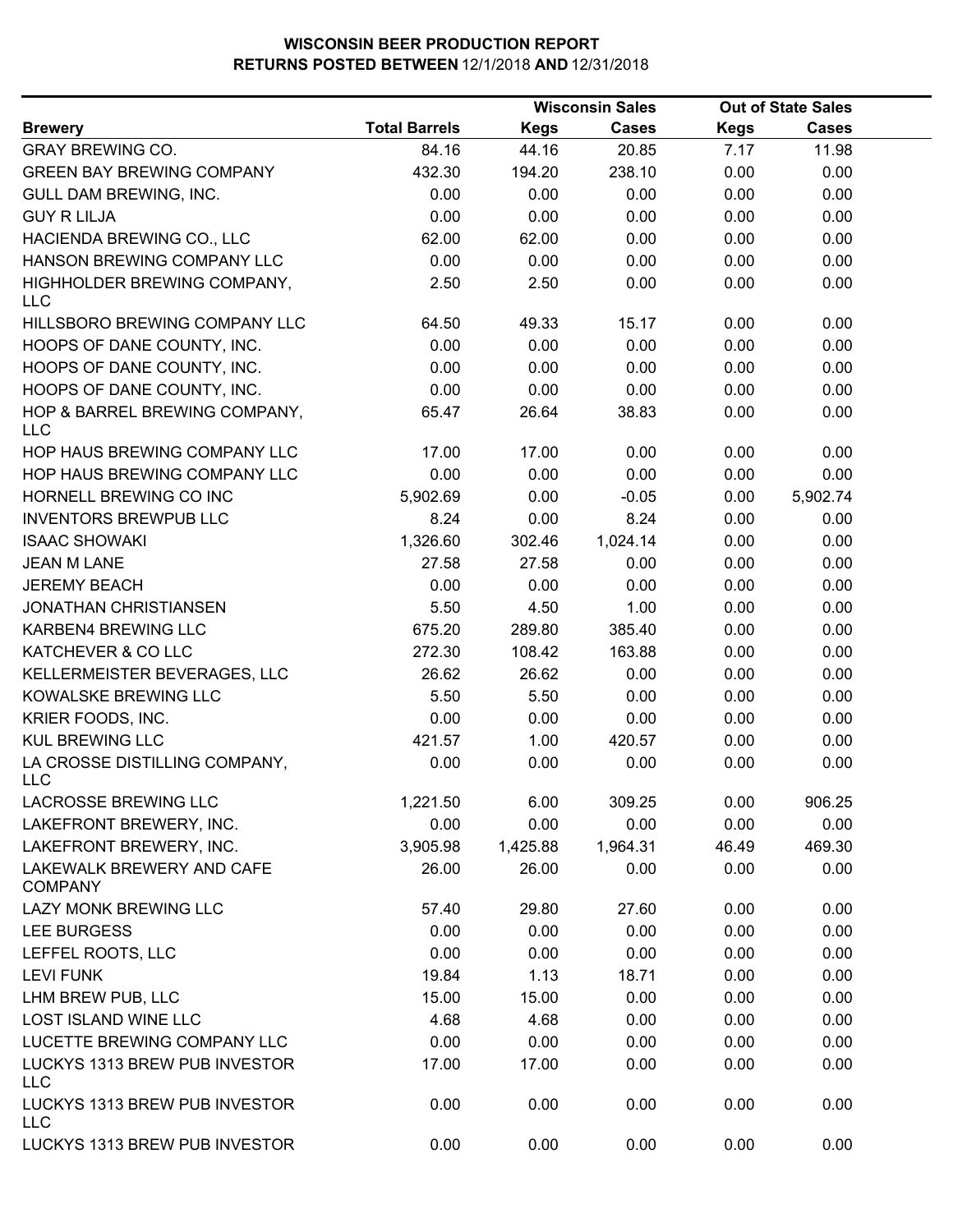|                                             |                      |             | <b>Wisconsin Sales</b> |       | <b>Out of State Sales</b> |  |
|---------------------------------------------|----------------------|-------------|------------------------|-------|---------------------------|--|
| <b>Brewery</b>                              | <b>Total Barrels</b> | <b>Kegs</b> | Cases                  | Kegs  | <b>Cases</b>              |  |
| <b>GRAY BREWING CO.</b>                     | 84.16                | 44.16       | 20.85                  | 7.17  | 11.98                     |  |
| <b>GREEN BAY BREWING COMPANY</b>            | 432.30               | 194.20      | 238.10                 | 0.00  | 0.00                      |  |
| GULL DAM BREWING, INC.                      | 0.00                 | 0.00        | 0.00                   | 0.00  | 0.00                      |  |
| <b>GUY R LILJA</b>                          | 0.00                 | 0.00        | 0.00                   | 0.00  | 0.00                      |  |
| HACIENDA BREWING CO., LLC                   | 62.00                | 62.00       | 0.00                   | 0.00  | 0.00                      |  |
| HANSON BREWING COMPANY LLC                  | 0.00                 | 0.00        | 0.00                   | 0.00  | 0.00                      |  |
| HIGHHOLDER BREWING COMPANY,<br><b>LLC</b>   | 2.50                 | 2.50        | 0.00                   | 0.00  | 0.00                      |  |
| HILLSBORO BREWING COMPANY LLC               | 64.50                | 49.33       | 15.17                  | 0.00  | 0.00                      |  |
| HOOPS OF DANE COUNTY, INC.                  | 0.00                 | 0.00        | 0.00                   | 0.00  | 0.00                      |  |
| HOOPS OF DANE COUNTY, INC.                  | 0.00                 | 0.00        | 0.00                   | 0.00  | 0.00                      |  |
| HOOPS OF DANE COUNTY, INC.                  | 0.00                 | 0.00        | 0.00                   | 0.00  | 0.00                      |  |
| HOP & BARREL BREWING COMPANY,<br><b>LLC</b> | 65.47                | 26.64       | 38.83                  | 0.00  | 0.00                      |  |
| HOP HAUS BREWING COMPANY LLC                | 17.00                | 17.00       | 0.00                   | 0.00  | 0.00                      |  |
| HOP HAUS BREWING COMPANY LLC                | 0.00                 | 0.00        | 0.00                   | 0.00  | 0.00                      |  |
| HORNELL BREWING CO INC                      | 5,902.69             | 0.00        | $-0.05$                | 0.00  | 5,902.74                  |  |
| <b>INVENTORS BREWPUB LLC</b>                | 8.24                 | 0.00        | 8.24                   | 0.00  | 0.00                      |  |
| <b>ISAAC SHOWAKI</b>                        | 1,326.60             | 302.46      | 1,024.14               | 0.00  | 0.00                      |  |
| <b>JEAN M LANE</b>                          | 27.58                | 27.58       | 0.00                   | 0.00  | 0.00                      |  |
| <b>JEREMY BEACH</b>                         | 0.00                 | 0.00        | 0.00                   | 0.00  | 0.00                      |  |
| <b>JONATHAN CHRISTIANSEN</b>                | 5.50                 | 4.50        | 1.00                   | 0.00  | 0.00                      |  |
| KARBEN4 BREWING LLC                         | 675.20               | 289.80      | 385.40                 | 0.00  | 0.00                      |  |
| KATCHEVER & CO LLC                          | 272.30               | 108.42      | 163.88                 | 0.00  | 0.00                      |  |
| KELLERMEISTER BEVERAGES, LLC                | 26.62                | 26.62       | 0.00                   | 0.00  | 0.00                      |  |
| KOWALSKE BREWING LLC                        | 5.50                 | 5.50        | 0.00                   | 0.00  | 0.00                      |  |
| KRIER FOODS, INC.                           | 0.00                 | 0.00        | 0.00                   | 0.00  | 0.00                      |  |
| <b>KUL BREWING LLC</b>                      | 421.57               | 1.00        | 420.57                 | 0.00  | 0.00                      |  |
| LA CROSSE DISTILLING COMPANY,<br>LLC        | 0.00                 | 0.00        | 0.00                   | 0.00  | 0.00                      |  |
| <b>LACROSSE BREWING LLC</b>                 | 1,221.50             | 6.00        | 309.25                 | 0.00  | 906.25                    |  |
| LAKEFRONT BREWERY, INC.                     | 0.00                 | 0.00        | 0.00                   | 0.00  | 0.00                      |  |
| LAKEFRONT BREWERY, INC.                     | 3,905.98             | 1,425.88    | 1,964.31               | 46.49 | 469.30                    |  |
| LAKEWALK BREWERY AND CAFE<br><b>COMPANY</b> | 26.00                | 26.00       | 0.00                   | 0.00  | 0.00                      |  |
| LAZY MONK BREWING LLC                       | 57.40                | 29.80       | 27.60                  | 0.00  | 0.00                      |  |
| <b>LEE BURGESS</b>                          | 0.00                 | 0.00        | 0.00                   | 0.00  | 0.00                      |  |
| LEFFEL ROOTS, LLC                           | 0.00                 | 0.00        | 0.00                   | 0.00  | 0.00                      |  |
| <b>LEVI FUNK</b>                            | 19.84                | 1.13        | 18.71                  | 0.00  | 0.00                      |  |
| LHM BREW PUB, LLC                           | 15.00                | 15.00       | 0.00                   | 0.00  | 0.00                      |  |
| <b>LOST ISLAND WINE LLC</b>                 | 4.68                 | 4.68        | 0.00                   | 0.00  | 0.00                      |  |
| LUCETTE BREWING COMPANY LLC                 | 0.00                 | 0.00        | 0.00                   | 0.00  | 0.00                      |  |
| LUCKYS 1313 BREW PUB INVESTOR<br><b>LLC</b> | 17.00                | 17.00       | 0.00                   | 0.00  | 0.00                      |  |
| LUCKYS 1313 BREW PUB INVESTOR<br><b>LLC</b> | 0.00                 | 0.00        | 0.00                   | 0.00  | 0.00                      |  |
| LUCKYS 1313 BREW PUB INVESTOR               | 0.00                 | 0.00        | 0.00                   | 0.00  | 0.00                      |  |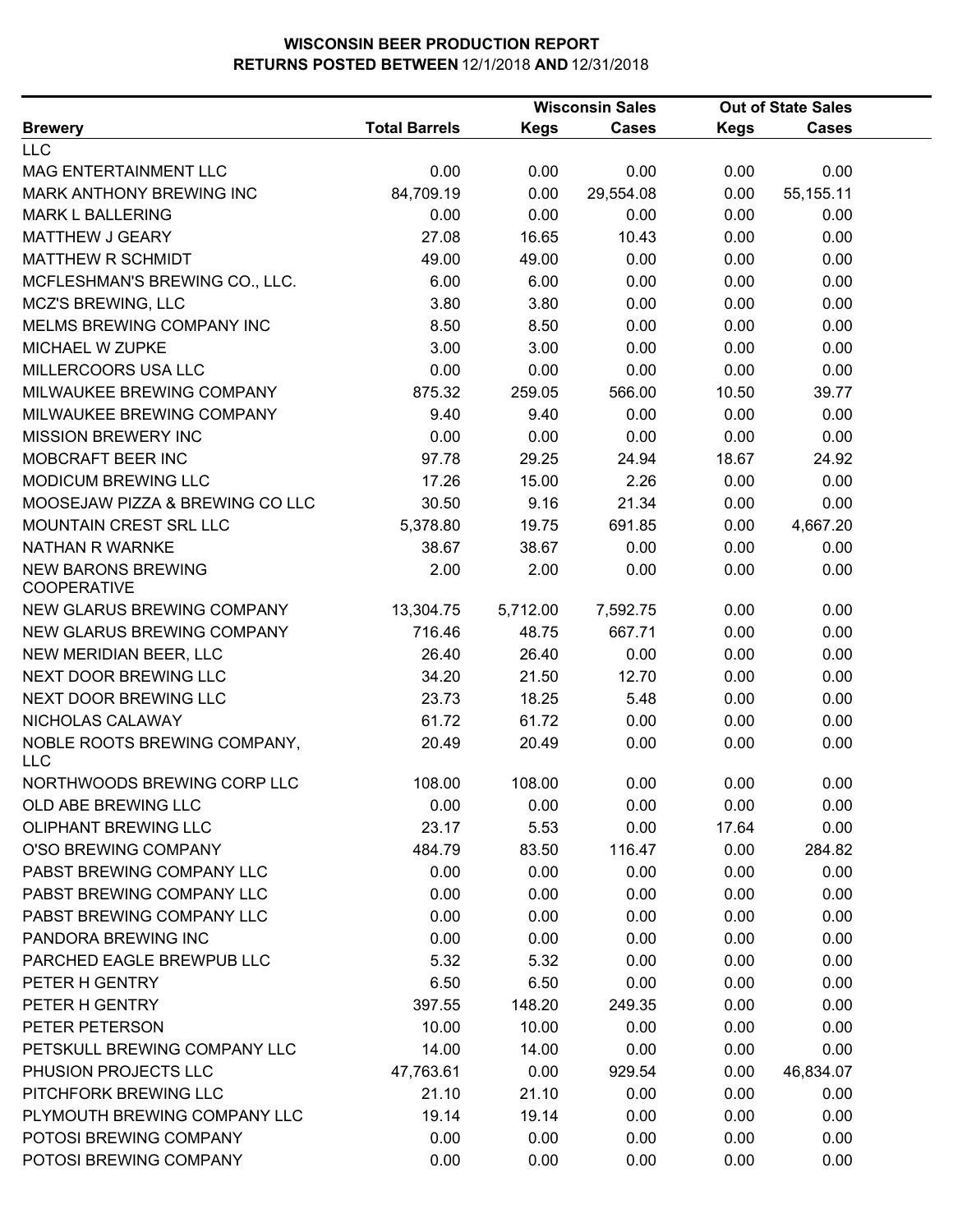|                                                 | <b>Wisconsin Sales</b> |             |              | <b>Out of State Sales</b> |              |  |
|-------------------------------------------------|------------------------|-------------|--------------|---------------------------|--------------|--|
| <b>Brewery</b>                                  | <b>Total Barrels</b>   | <b>Kegs</b> | <b>Cases</b> | <b>Kegs</b>               | <b>Cases</b> |  |
| <b>LLC</b>                                      |                        |             |              |                           |              |  |
| MAG ENTERTAINMENT LLC                           | 0.00                   | 0.00        | 0.00         | 0.00                      | 0.00         |  |
| MARK ANTHONY BREWING INC                        | 84,709.19              | 0.00        | 29,554.08    | 0.00                      | 55,155.11    |  |
| <b>MARK L BALLERING</b>                         | 0.00                   | 0.00        | 0.00         | 0.00                      | 0.00         |  |
| <b>MATTHEW J GEARY</b>                          | 27.08                  | 16.65       | 10.43        | 0.00                      | 0.00         |  |
| <b>MATTHEW R SCHMIDT</b>                        | 49.00                  | 49.00       | 0.00         | 0.00                      | 0.00         |  |
| MCFLESHMAN'S BREWING CO., LLC.                  | 6.00                   | 6.00        | 0.00         | 0.00                      | 0.00         |  |
| <b>MCZ'S BREWING, LLC</b>                       | 3.80                   | 3.80        | 0.00         | 0.00                      | 0.00         |  |
| MELMS BREWING COMPANY INC                       | 8.50                   | 8.50        | 0.00         | 0.00                      | 0.00         |  |
| MICHAEL W ZUPKE                                 | 3.00                   | 3.00        | 0.00         | 0.00                      | 0.00         |  |
| MILLERCOORS USA LLC                             | 0.00                   | 0.00        | 0.00         | 0.00                      | 0.00         |  |
| MILWAUKEE BREWING COMPANY                       | 875.32                 | 259.05      | 566.00       | 10.50                     | 39.77        |  |
| MILWAUKEE BREWING COMPANY                       | 9.40                   | 9.40        | 0.00         | 0.00                      | 0.00         |  |
| <b>MISSION BREWERY INC</b>                      | 0.00                   | 0.00        | 0.00         | 0.00                      | 0.00         |  |
| MOBCRAFT BEER INC                               | 97.78                  | 29.25       | 24.94        | 18.67                     | 24.92        |  |
| MODICUM BREWING LLC                             | 17.26                  | 15.00       | 2.26         | 0.00                      | 0.00         |  |
| MOOSEJAW PIZZA & BREWING CO LLC                 | 30.50                  | 9.16        | 21.34        | 0.00                      | 0.00         |  |
| MOUNTAIN CREST SRL LLC                          | 5,378.80               | 19.75       | 691.85       | 0.00                      | 4,667.20     |  |
| NATHAN R WARNKE                                 | 38.67                  | 38.67       | 0.00         | 0.00                      | 0.00         |  |
| <b>NEW BARONS BREWING</b><br><b>COOPERATIVE</b> | 2.00                   | 2.00        | 0.00         | 0.00                      | 0.00         |  |
| NEW GLARUS BREWING COMPANY                      | 13,304.75              | 5,712.00    | 7,592.75     | 0.00                      | 0.00         |  |
| NEW GLARUS BREWING COMPANY                      | 716.46                 | 48.75       | 667.71       | 0.00                      | 0.00         |  |
| NEW MERIDIAN BEER, LLC                          | 26.40                  | 26.40       | 0.00         | 0.00                      | 0.00         |  |
| NEXT DOOR BREWING LLC                           | 34.20                  | 21.50       | 12.70        | 0.00                      | 0.00         |  |
| NEXT DOOR BREWING LLC                           | 23.73                  | 18.25       | 5.48         | 0.00                      | 0.00         |  |
| NICHOLAS CALAWAY                                | 61.72                  | 61.72       | 0.00         | 0.00                      | 0.00         |  |
| NOBLE ROOTS BREWING COMPANY,<br>LLC             | 20.49                  | 20.49       | 0.00         | 0.00                      | 0.00         |  |
| NORTHWOODS BREWING CORP LLC                     | 108.00                 | 108.00      | 0.00         | 0.00                      | 0.00         |  |
| OLD ABE BREWING LLC                             | 0.00                   | 0.00        | 0.00         | 0.00                      | 0.00         |  |
| <b>OLIPHANT BREWING LLC</b>                     | 23.17                  | 5.53        | 0.00         | 17.64                     | 0.00         |  |
| O'SO BREWING COMPANY                            | 484.79                 | 83.50       | 116.47       | 0.00                      | 284.82       |  |
| PABST BREWING COMPANY LLC                       | 0.00                   | 0.00        | 0.00         | 0.00                      | 0.00         |  |
| PABST BREWING COMPANY LLC                       | 0.00                   | 0.00        | 0.00         | 0.00                      | 0.00         |  |
| PABST BREWING COMPANY LLC                       | 0.00                   | 0.00        | 0.00         | 0.00                      | 0.00         |  |
| PANDORA BREWING INC                             | 0.00                   | 0.00        | 0.00         | 0.00                      | 0.00         |  |
| PARCHED EAGLE BREWPUB LLC                       | 5.32                   | 5.32        | 0.00         | 0.00                      | 0.00         |  |
| PETER H GENTRY                                  | 6.50                   | 6.50        | 0.00         | 0.00                      | 0.00         |  |
| PETER H GENTRY                                  | 397.55                 | 148.20      | 249.35       | 0.00                      | 0.00         |  |
| PETER PETERSON                                  | 10.00                  | 10.00       | 0.00         | 0.00                      | 0.00         |  |
| PETSKULL BREWING COMPANY LLC                    | 14.00                  | 14.00       | 0.00         | 0.00                      | 0.00         |  |
| PHUSION PROJECTS LLC                            | 47,763.61              | 0.00        | 929.54       | 0.00                      | 46,834.07    |  |
| PITCHFORK BREWING LLC                           | 21.10                  | 21.10       | 0.00         | 0.00                      | 0.00         |  |
| PLYMOUTH BREWING COMPANY LLC                    | 19.14                  | 19.14       | 0.00         | 0.00                      | 0.00         |  |
| POTOSI BREWING COMPANY                          | 0.00                   | 0.00        | 0.00         | 0.00                      | 0.00         |  |
| POTOSI BREWING COMPANY                          | 0.00                   | 0.00        | 0.00         | 0.00                      | 0.00         |  |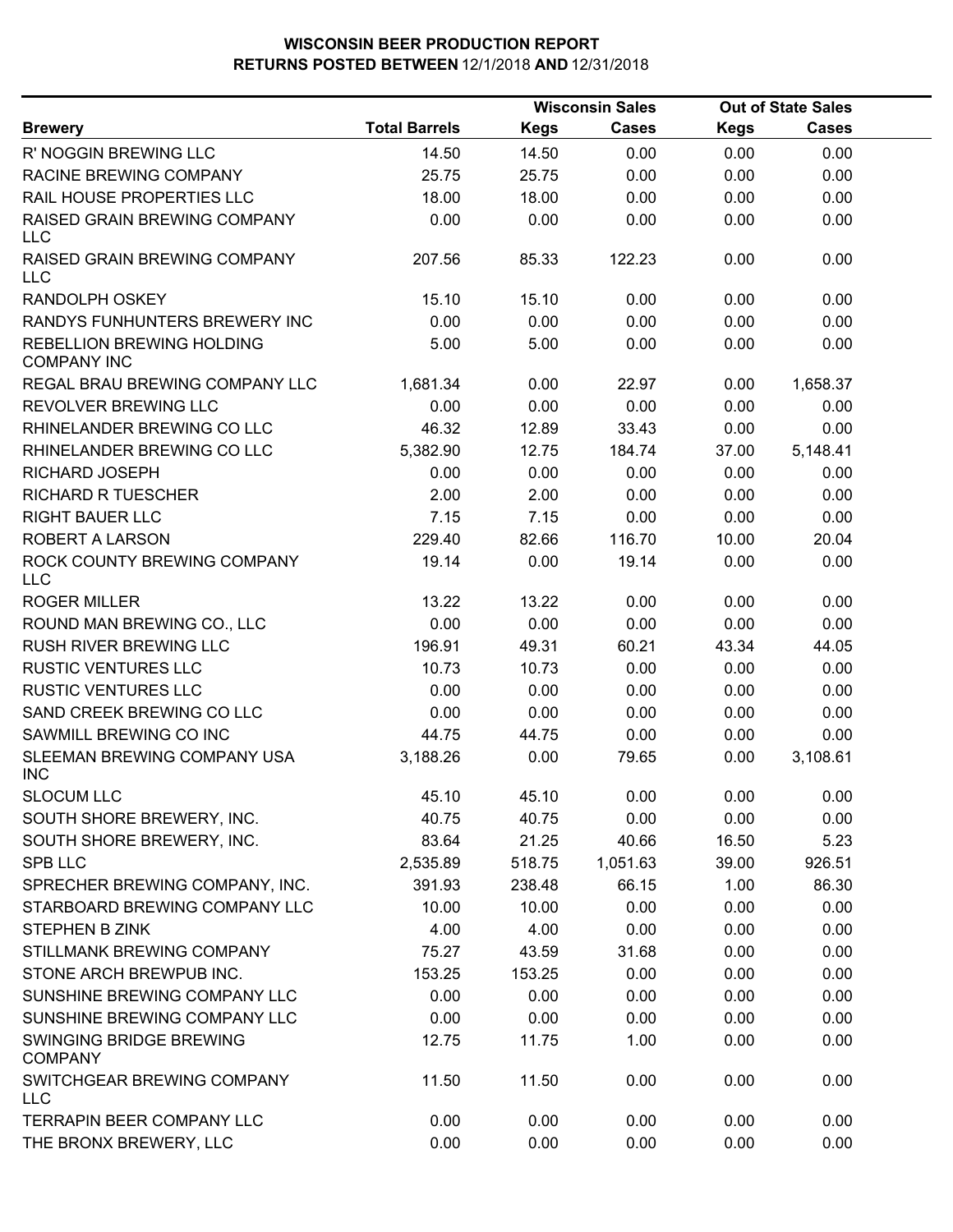|                                                 |                      |             | <b>Wisconsin Sales</b> |             | <b>Out of State Sales</b> |  |
|-------------------------------------------------|----------------------|-------------|------------------------|-------------|---------------------------|--|
| <b>Brewery</b>                                  | <b>Total Barrels</b> | <b>Kegs</b> | <b>Cases</b>           | <b>Kegs</b> | Cases                     |  |
| R' NOGGIN BREWING LLC                           | 14.50                | 14.50       | 0.00                   | 0.00        | 0.00                      |  |
| RACINE BREWING COMPANY                          | 25.75                | 25.75       | 0.00                   | 0.00        | 0.00                      |  |
| RAIL HOUSE PROPERTIES LLC                       | 18.00                | 18.00       | 0.00                   | 0.00        | 0.00                      |  |
| RAISED GRAIN BREWING COMPANY<br><b>LLC</b>      | 0.00                 | 0.00        | 0.00                   | 0.00        | 0.00                      |  |
| RAISED GRAIN BREWING COMPANY<br><b>LLC</b>      | 207.56               | 85.33       | 122.23                 | 0.00        | 0.00                      |  |
| RANDOLPH OSKEY                                  | 15.10                | 15.10       | 0.00                   | 0.00        | 0.00                      |  |
| RANDYS FUNHUNTERS BREWERY INC                   | 0.00                 | 0.00        | 0.00                   | 0.00        | 0.00                      |  |
| REBELLION BREWING HOLDING<br><b>COMPANY INC</b> | 5.00                 | 5.00        | 0.00                   | 0.00        | 0.00                      |  |
| REGAL BRAU BREWING COMPANY LLC                  | 1,681.34             | 0.00        | 22.97                  | 0.00        | 1,658.37                  |  |
| REVOLVER BREWING LLC                            | 0.00                 | 0.00        | 0.00                   | 0.00        | 0.00                      |  |
| RHINELANDER BREWING CO LLC                      | 46.32                | 12.89       | 33.43                  | 0.00        | 0.00                      |  |
| RHINELANDER BREWING CO LLC                      | 5,382.90             | 12.75       | 184.74                 | 37.00       | 5,148.41                  |  |
| RICHARD JOSEPH                                  | 0.00                 | 0.00        | 0.00                   | 0.00        | 0.00                      |  |
| <b>RICHARD R TUESCHER</b>                       | 2.00                 | 2.00        | 0.00                   | 0.00        | 0.00                      |  |
| <b>RIGHT BAUER LLC</b>                          | 7.15                 | 7.15        | 0.00                   | 0.00        | 0.00                      |  |
| <b>ROBERT A LARSON</b>                          | 229.40               | 82.66       | 116.70                 | 10.00       | 20.04                     |  |
| ROCK COUNTY BREWING COMPANY<br><b>LLC</b>       | 19.14                | 0.00        | 19.14                  | 0.00        | 0.00                      |  |
| <b>ROGER MILLER</b>                             | 13.22                | 13.22       | 0.00                   | 0.00        | 0.00                      |  |
| ROUND MAN BREWING CO., LLC                      | 0.00                 | 0.00        | 0.00                   | 0.00        | 0.00                      |  |
| <b>RUSH RIVER BREWING LLC</b>                   | 196.91               | 49.31       | 60.21                  | 43.34       | 44.05                     |  |
| <b>RUSTIC VENTURES LLC</b>                      | 10.73                | 10.73       | 0.00                   | 0.00        | 0.00                      |  |
| <b>RUSTIC VENTURES LLC</b>                      | 0.00                 | 0.00        | 0.00                   | 0.00        | 0.00                      |  |
| SAND CREEK BREWING CO LLC                       | 0.00                 | 0.00        | 0.00                   | 0.00        | 0.00                      |  |
| SAWMILL BREWING CO INC                          | 44.75                | 44.75       | 0.00                   | 0.00        | 0.00                      |  |
| SLEEMAN BREWING COMPANY USA<br><b>INC</b>       | 3,188.26             | 0.00        | 79.65                  | 0.00        | 3,108.61                  |  |
| <b>SLOCUM LLC</b>                               | 45.10                | 45.10       | 0.00                   | 0.00        | 0.00                      |  |
| SOUTH SHORE BREWERY, INC.                       | 40.75                | 40.75       | 0.00                   | 0.00        | 0.00                      |  |
| SOUTH SHORE BREWERY, INC.                       | 83.64                | 21.25       | 40.66                  | 16.50       | 5.23                      |  |
| <b>SPB LLC</b>                                  | 2,535.89             | 518.75      | 1,051.63               | 39.00       | 926.51                    |  |
| SPRECHER BREWING COMPANY, INC.                  | 391.93               | 238.48      | 66.15                  | 1.00        | 86.30                     |  |
| STARBOARD BREWING COMPANY LLC                   | 10.00                | 10.00       | 0.00                   | 0.00        | 0.00                      |  |
| STEPHEN B ZINK                                  | 4.00                 | 4.00        | 0.00                   | 0.00        | 0.00                      |  |
| STILLMANK BREWING COMPANY                       | 75.27                | 43.59       | 31.68                  | 0.00        | 0.00                      |  |
| STONE ARCH BREWPUB INC.                         | 153.25               | 153.25      | 0.00                   | 0.00        | 0.00                      |  |
| SUNSHINE BREWING COMPANY LLC                    | 0.00                 | 0.00        | 0.00                   | 0.00        | 0.00                      |  |
| SUNSHINE BREWING COMPANY LLC                    | 0.00                 | 0.00        | 0.00                   | 0.00        | 0.00                      |  |
| SWINGING BRIDGE BREWING<br><b>COMPANY</b>       | 12.75                | 11.75       | 1.00                   | 0.00        | 0.00                      |  |
| SWITCHGEAR BREWING COMPANY<br><b>LLC</b>        | 11.50                | 11.50       | 0.00                   | 0.00        | 0.00                      |  |
| <b>TERRAPIN BEER COMPANY LLC</b>                | 0.00                 | 0.00        | 0.00                   | 0.00        | 0.00                      |  |
| THE BRONX BREWERY, LLC                          | 0.00                 | 0.00        | 0.00                   | 0.00        | 0.00                      |  |